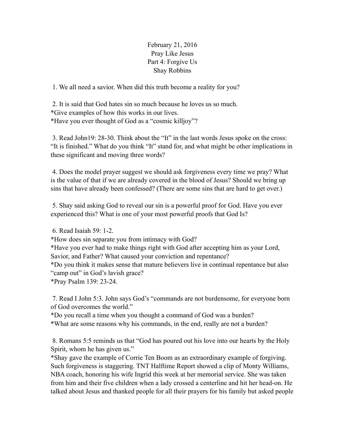February 21, 2016 Pray Like Jesus Part 4: Forgive Us Shay Robbins

1. We all need a savior. When did this truth become a reality for you?

 2. It is said that God hates sin so much because he loves us so much. \*Give examples of how this works in our lives. \*Have you ever thought of God as a "cosmic killjoy"?

 3. Read John19: 28-30. Think about the "It" in the last words Jesus spoke on the cross: "It is finished." What do you think "It" stand for, and what might be other implications in these significant and moving three words?

 4. Does the model prayer suggest we should ask forgiveness every time we pray? What is the value of that if we are already covered in the blood of Jesus? Should we bring up sins that have already been confessed? (There are some sins that are hard to get over.)

 5. Shay said asking God to reveal our sin is a powerful proof for God. Have you ever experienced this? What is one of your most powerful proofs that God Is?

6. Read Isaiah 59: 1-2.

\*How does sin separate you from intimacy with God?

\*Have you ever had to make things right with God after accepting him as your Lord, Savior, and Father? What caused your conviction and repentance?

\*Do you think it makes sense that mature believers live in continual repentance but also "camp out" in God's lavish grace?

\*Pray Psalm 139: 23-24.

 7. Read I John 5:3. John says God's "commands are not burdensome, for everyone born of God overcomes the world."

\*Do you recall a time when you thought a command of God was a burden?

\*What are some reasons why his commands, in the end, really are not a burden?

 8. Romans 5:5 reminds us that "God has poured out his love into our hearts by the Holy Spirit, whom he has given us."

\*Shay gave the example of Corrie Ten Boom as an extraordinary example of forgiving. Such forgiveness is staggering. TNT Halftime Report showed a clip of Monty Williams, NBA coach, honoring his wife Ingrid this week at her memorial service. She was taken from him and their five children when a lady crossed a centerline and hit her head-on. He talked about Jesus and thanked people for all their prayers for his family but asked people